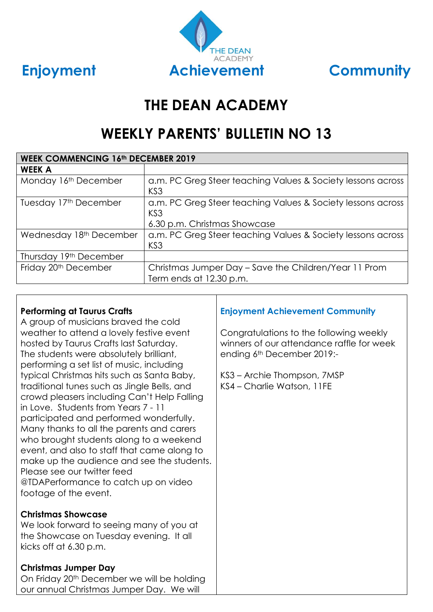



# **THE DEAN ACADEMY**

# **WEEKLY PARENTS' BULLETIN NO 13**

| <b>WEEK COMMENCING 16th DECEMBER 2019</b> |                                                                                                                |  |  |  |
|-------------------------------------------|----------------------------------------------------------------------------------------------------------------|--|--|--|
| <b>WEEK A</b>                             |                                                                                                                |  |  |  |
| Monday 16th December                      | a.m. PC Greg Steer teaching Values & Society lessons across<br>KS <sub>3</sub>                                 |  |  |  |
| Tuesday 17th December                     | a.m. PC Greg Steer teaching Values & Society lessons across<br>KS <sub>3</sub><br>6.30 p.m. Christmas Showcase |  |  |  |
| Wednesday 18th December                   | a.m. PC Greg Steer teaching Values & Society lessons across<br>KS <sub>3</sub>                                 |  |  |  |
| Thursday 19th December                    |                                                                                                                |  |  |  |
| Friday 20 <sup>th</sup> December          | Christmas Jumper Day – Save the Children/Year 11 Prom<br>Term ends at 12.30 p.m.                               |  |  |  |

### **Performing at Taurus Crafts**

A group of musicians braved the cold weather to attend a lovely festive event hosted by Taurus Crafts last Saturday. The students were absolutely brilliant, performing a set list of music, including typical Christmas hits such as Santa Baby, traditional tunes such as Jingle Bells, and crowd pleasers including Can't Help Falling in Love. Students from Years 7 - 11 participated and performed wonderfully. Many thanks to all the parents and carers who brought students along to a weekend event, and also to staff that came along to make up the audience and see the students. Please see our twitter feed @TDAPerformance to catch up on video footage of the event.

### **Christmas Showcase**

We look forward to seeing many of you at the Showcase on Tuesday evening. It all kicks off at 6.30 p.m.

### **Christmas Jumper Day**

On Friday 20<sup>th</sup> December we will be holding our annual Christmas Jumper Day. We will

# **Enjoyment Achievement Community**

Congratulations to the following weekly winners of our attendance raffle for week ending 6th December 2019:-

KS3 – Archie Thompson, 7MSP KS4 – Charlie Watson, 11FE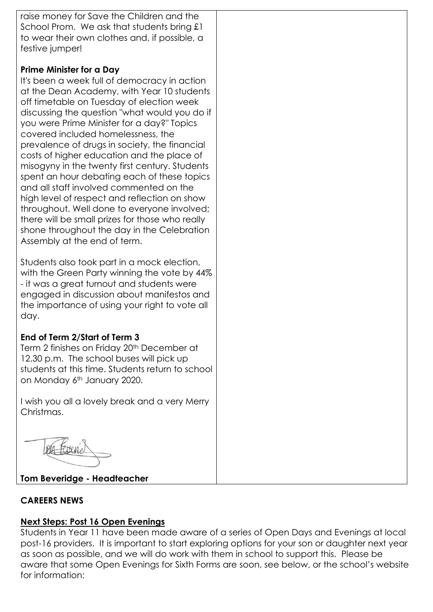raise money for Save the Children and the School Prom. We ask that students bring £1 to wear their own clothes and, if possible, a festive jumper!

#### **Prime Minister for a Day**

It's been a week full of democracy in action at the Dean Academy, with Year 10 students off timetable on Tuesday of election week discussing the question "what would you do if you were Prime Minister for a day?" Topics covered included homelessness, the prevalence of drugs in society, the financial costs of higher education and the place of misogyny in the twenty first century. Students spent an hour debating each of these topics and all staff involved commented on the high level of respect and reflection on show throughout. Well done to everyone involved; there will be small prizes for those who really shone throughout the day in the Celebration Assembly at the end of term.

Students also took part in a mock election, with the Green Party winning the vote by 44% - it was a great turnout and students were engaged in discussion about manifestos and the importance of using your right to vote all day.

### **End of Term 2/Start of Term 3**

Term 2 finishes on Friday 20<sup>th</sup> December at 12.30 p.m. The school buses will pick up students at this time. Students return to school on Monday 6<sup>th</sup> January 2020.

I wish you all a lovely break and a very Merry Christmas.

### **Tom Beveridge - Headteacher**

### **CAREERS NEWS**

### **Next Steps: Post 16 Open Evenings**

Students in Year 11 have been made aware of a series of Open Days and Evenings at local post-16 providers. It is important to start exploring options for your son or daughter next year as soon as possible, and we will do work with them in school to support this. Please be aware that some Open Evenings for Sixth Forms are soon, see below, or the school's website for information: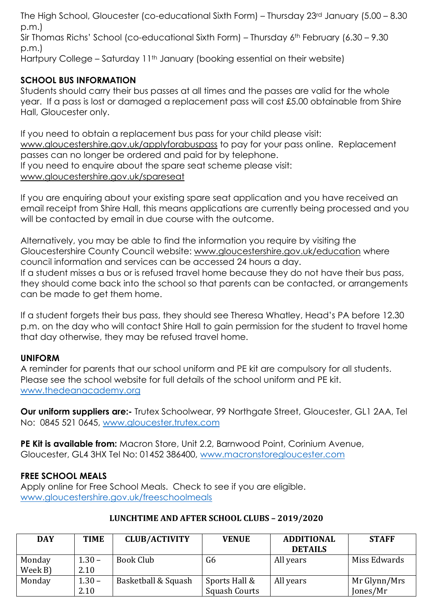The High School, Gloucester (co-educational Sixth Form) – Thursday 23rd January (5.00 – 8.30 p.m.) Sir Thomas Richs' School (co-educational Sixth Form) – Thursday 6th February (6.30 – 9.30 p.m.) Hartpury College – Saturday 11<sup>th</sup> January (booking essential on their website)

# **SCHOOL BUS INFORMATION**

Students should carry their bus passes at all times and the passes are valid for the whole year. If a pass is lost or damaged a replacement pass will cost £5.00 obtainable from Shire Hall, Gloucester only.

If you need to obtain a replacement bus pass for your child please visit: [www.gloucestershire.gov.uk/applyforabuspass](http://www.gloucestershire.gov.uk/applyforabuspass) to pay for your pass online. Replacement passes can no longer be ordered and paid for by telephone. If you need to enquire about the spare seat scheme please visit: [www.gloucestershire.gov.uk/spareseat](http://www.gloucestershire.gov.uk/spareseat)

If you are enquiring about your existing spare seat application and you have received an email receipt from Shire Hall, this means applications are currently being processed and you will be contacted by email in due course with the outcome.

Alternatively, you may be able to find the information you require by visiting the Gloucestershire County Council website: [www.gloucestershire.gov.uk/education](http://www.gloucestershire.gov.uk/education) where council information and services can be accessed 24 hours a day. If a student misses a bus or is refused travel home because they do not have their bus pass, they should come back into the school so that parents can be contacted, or arrangements can be made to get them home.

If a student forgets their bus pass, they should see Theresa Whatley, Head's PA before 12.30 p.m. on the day who will contact Shire Hall to gain permission for the student to travel home that day otherwise, they may be refused travel home.

### **UNIFORM**

A reminder for parents that our school uniform and PE kit are compulsory for all students. Please see the school website for full details of the school uniform and PE kit. [www.thedeanacademy.org](http://www.thedeanacademy.org/)

**Our uniform suppliers are:-** Trutex Schoolwear, 99 Northgate Street, Gloucester, GL1 2AA, Tel No: 0845 521 0645, [www.gloucester.trutex.com](http://www.gloucester.trutex.com/)

**PE Kit is available from:** Macron Store, Unit 2.2, Barnwood Point, Corinium Avenue, Gloucester, GL4 3HX Tel No: 01452 386400, [www.macronstoregloucester.com](http://www.macronstoregloucester.com/)

# **FREE SCHOOL MEALS**

Apply online for Free School Meals. Check to see if you are eligible. [www.gloucestershire.gov.uk/freeschoolmeals](http://www.gloucestershire.gov.uk/freeschoolmeals)

### **LUNCHTIME AND AFTER SCHOOL CLUBS – 2019/2020**

| <b>DAY</b> | TIME     | <b>CLUB/ACTIVITY</b> | <b>VENUE</b>         | <b>ADDITIONAL</b> | <b>STAFF</b> |
|------------|----------|----------------------|----------------------|-------------------|--------------|
|            |          |                      |                      | <b>DETAILS</b>    |              |
| Monday     | $1.30 -$ | Book Club            | G <sub>6</sub>       | All years         | Miss Edwards |
| Week B)    | 2.10     |                      |                      |                   |              |
| Monday     | $1.30 -$ | Basketball & Squash  | Sports Hall &        | All years         | Mr Glynn/Mrs |
|            | 2.10     |                      | <b>Squash Courts</b> |                   | Jones/Mr     |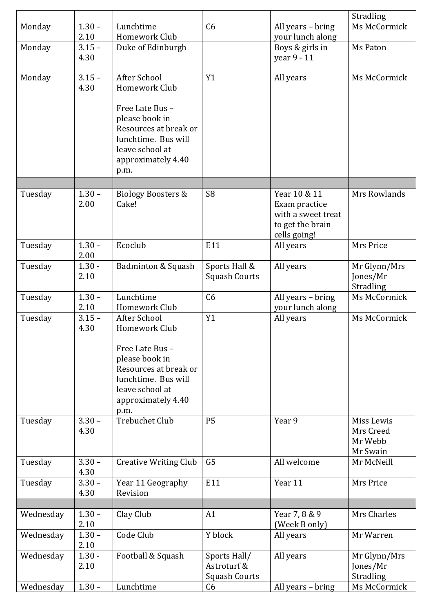|           |                  |                                                                                                                 |                                                     |                                                                                         | Stradling                                      |
|-----------|------------------|-----------------------------------------------------------------------------------------------------------------|-----------------------------------------------------|-----------------------------------------------------------------------------------------|------------------------------------------------|
| Monday    | $1.30 -$         | Lunchtime                                                                                                       | C <sub>6</sub>                                      | All years - bring                                                                       | Ms McCormick                                   |
|           | 2.10             | Homework Club                                                                                                   |                                                     | your lunch along                                                                        |                                                |
| Monday    | $3.15 -$<br>4.30 | Duke of Edinburgh                                                                                               |                                                     | Boys & girls in<br>year 9 - 11                                                          | Ms Paton                                       |
| Monday    | $3.15 -$<br>4.30 | After School<br>Homework Club<br>Free Late Bus -                                                                | Y1                                                  | All years                                                                               | Ms McCormick                                   |
|           |                  | please book in<br>Resources at break or<br>lunchtime. Bus will<br>leave school at<br>approximately 4.40<br>p.m. |                                                     |                                                                                         |                                                |
|           |                  |                                                                                                                 |                                                     |                                                                                         |                                                |
| Tuesday   | $1.30 -$<br>2.00 | <b>Biology Boosters &amp;</b><br>Cake!                                                                          | S <sub>8</sub>                                      | Year 10 & 11<br>Exam practice<br>with a sweet treat<br>to get the brain<br>cells going! | Mrs Rowlands                                   |
| Tuesday   | $1.30 -$<br>2.00 | Ecoclub                                                                                                         | E11                                                 | All years                                                                               | Mrs Price                                      |
| Tuesday   | $1.30 -$<br>2.10 | Badminton & Squash                                                                                              | Sports Hall &<br><b>Squash Courts</b>               | All years                                                                               | Mr Glynn/Mrs<br>Jones/Mr<br>Stradling          |
| Tuesday   | $1.30 -$<br>2.10 | Lunchtime<br>Homework Club                                                                                      | C6                                                  | All years - bring<br>your lunch along                                                   | Ms McCormick                                   |
| Tuesday   | $3.15 -$         | <b>After School</b>                                                                                             | Y1                                                  | All years                                                                               | Ms McCormick                                   |
|           | 4.30             | Homework Club                                                                                                   |                                                     |                                                                                         |                                                |
|           |                  | Free Late Bus -<br>please book in<br>Resources at break or                                                      |                                                     |                                                                                         |                                                |
|           |                  | lunchtime. Bus will<br>leave school at                                                                          |                                                     |                                                                                         |                                                |
|           |                  | approximately 4.40<br>p.m.                                                                                      |                                                     |                                                                                         |                                                |
| Tuesday   | $3.30 -$<br>4.30 | <b>Trebuchet Club</b>                                                                                           | <b>P5</b>                                           | Year 9                                                                                  | Miss Lewis<br>Mrs Creed<br>Mr Webb<br>Mr Swain |
| Tuesday   | $3.30 -$<br>4.30 | <b>Creative Writing Club</b>                                                                                    | G <sub>5</sub>                                      | All welcome                                                                             | Mr McNeill                                     |
| Tuesday   | $3.30 -$<br>4.30 | Year 11 Geography<br>Revision                                                                                   | E11                                                 | Year 11                                                                                 | Mrs Price                                      |
|           |                  |                                                                                                                 |                                                     |                                                                                         | Mrs Charles                                    |
| Wednesday | $1.30 -$<br>2.10 | Clay Club                                                                                                       | A1                                                  | Year 7, 8 & 9<br>(Week B only)                                                          |                                                |
| Wednesday | $1.30 -$<br>2.10 | Code Club                                                                                                       | Y block                                             | All years                                                                               | Mr Warren                                      |
| Wednesday | $1.30 -$<br>2.10 | Football & Squash                                                                                               | Sports Hall/<br>Astroturf &<br><b>Squash Courts</b> | All years                                                                               | Mr Glynn/Mrs<br>Jones/Mr<br>Stradling          |
| Wednesday | $1.30 -$         | Lunchtime                                                                                                       | C6                                                  | All years - bring                                                                       | Ms McCormick                                   |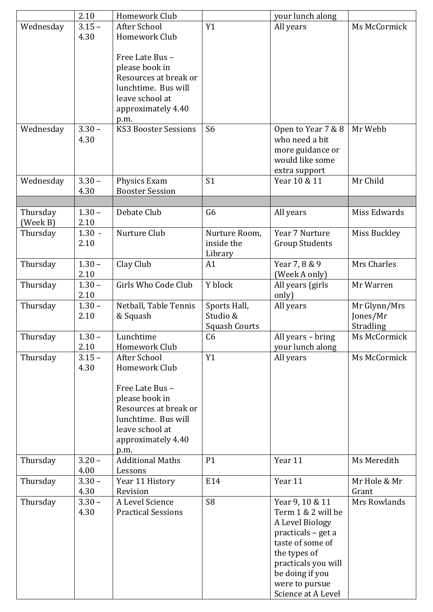|           | 2.10             | Homework Club                      |                      | your lunch along                    |              |
|-----------|------------------|------------------------------------|----------------------|-------------------------------------|--------------|
| Wednesday | $3.15 -$<br>4.30 | After School<br>Homework Club      | Y1                   | All years                           | Ms McCormick |
|           |                  |                                    |                      |                                     |              |
|           |                  | Free Late Bus -                    |                      |                                     |              |
|           |                  | please book in                     |                      |                                     |              |
|           |                  | Resources at break or              |                      |                                     |              |
|           |                  | lunchtime. Bus will                |                      |                                     |              |
|           |                  | leave school at                    |                      |                                     |              |
|           |                  | approximately 4.40<br>p.m.         |                      |                                     |              |
| Wednesday | $3.30 -$         | <b>KS3 Booster Sessions</b>        | S <sub>6</sub>       | Open to Year 7 & 8                  | Mr Webb      |
|           | 4.30             |                                    |                      | who need a bit                      |              |
|           |                  |                                    |                      | more guidance or                    |              |
|           |                  |                                    |                      | would like some                     |              |
|           |                  |                                    |                      | extra support                       |              |
| Wednesday | $3.30 -$         | Physics Exam                       | S <sub>1</sub>       | Year 10 & 11                        | Mr Child     |
|           | 4.30             | <b>Booster Session</b>             |                      |                                     |              |
| Thursday  | $1.30 -$         | Debate Club                        | G <sub>6</sub>       | All years                           | Miss Edwards |
| (Week B)  | 2.10             |                                    |                      |                                     |              |
| Thursday  | $1.30 -$         | Nurture Club                       | Nurture Room,        | Year 7 Nurture                      | Miss Buckley |
|           | 2.10             |                                    | inside the           | <b>Group Students</b>               |              |
|           |                  |                                    | Library              |                                     |              |
| Thursday  | $1.30 -$         | Clay Club                          | A1                   | Year 7, 8 & 9                       | Mrs Charles  |
|           | 2.10<br>$1.30 -$ | Girls Who Code Club                | Y block              | (Week A only)<br>All years (girls   | Mr Warren    |
| Thursday  | 2.10             |                                    |                      | only)                               |              |
| Thursday  | $1.30 -$         | Netball, Table Tennis              | Sports Hall,         | All years                           | Mr Glynn/Mrs |
|           | 2.10             | & Squash                           | Studio &             |                                     | Jones/Mr     |
|           |                  |                                    | <b>Squash Courts</b> |                                     | Stradling    |
| Thursday  | 1.30             | Lunchtime                          | C <sub>6</sub>       | All years - bring                   | Ms McCormick |
|           | 2.10             | Homework Club                      |                      | your lunch along                    |              |
| Thursday  | $3.15 -$         | After School                       | Y1                   | All years                           | Ms McCormick |
|           | 4.30             | Homework Club                      |                      |                                     |              |
|           |                  | Free Late Bus -                    |                      |                                     |              |
|           |                  | please book in                     |                      |                                     |              |
|           |                  | Resources at break or              |                      |                                     |              |
|           |                  | lunchtime. Bus will                |                      |                                     |              |
|           |                  | leave school at                    |                      |                                     |              |
|           |                  | approximately 4.40                 |                      |                                     |              |
|           |                  | p.m.                               |                      |                                     |              |
| Thursday  | $3.20 -$<br>4.00 | <b>Additional Maths</b><br>Lessons | P1                   | Year 11                             | Ms Meredith  |
| Thursday  | $3.30 -$         | Year 11 History                    | E14                  | Year 11                             | Mr Hole & Mr |
|           | 4.30             | Revision                           |                      |                                     | Grant        |
| Thursday  | $3.30 -$         | A Level Science                    | S <sub>8</sub>       | Year 9, 10 & 11                     | Mrs Rowlands |
|           | 4.30             | <b>Practical Sessions</b>          |                      | Term 1 & 2 will be                  |              |
|           |                  |                                    |                      | A Level Biology                     |              |
|           |                  |                                    |                      | practicals – get a                  |              |
|           |                  |                                    |                      | taste of some of                    |              |
|           |                  |                                    |                      | the types of<br>practicals you will |              |
|           |                  |                                    |                      | be doing if you                     |              |
|           |                  |                                    |                      | were to pursue                      |              |
|           |                  |                                    |                      | Science at A Level                  |              |